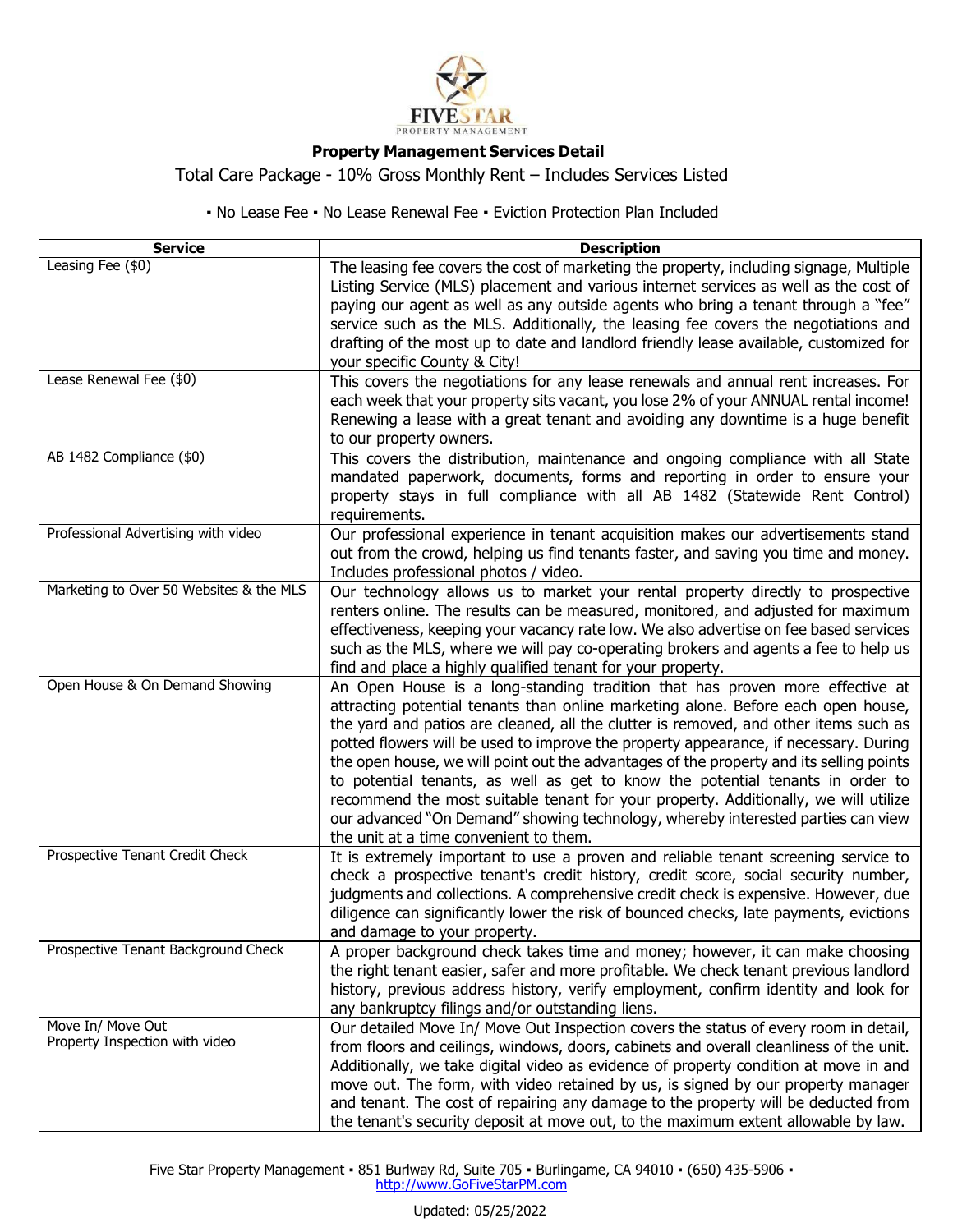

## **Property Management Services Detail**

Total Care Package - 10% Gross Monthly Rent – Includes Services Listed

▪ No Lease Fee ▪ No Lease Renewal Fee ▪ Eviction Protection Plan Included

| <b>Service</b>                                      | <b>Description</b>                                                                                                                                                                                                                                                                                                                                                                                                                                                                                                                                                                                                                                                                                                                                  |
|-----------------------------------------------------|-----------------------------------------------------------------------------------------------------------------------------------------------------------------------------------------------------------------------------------------------------------------------------------------------------------------------------------------------------------------------------------------------------------------------------------------------------------------------------------------------------------------------------------------------------------------------------------------------------------------------------------------------------------------------------------------------------------------------------------------------------|
| Leasing Fee (\$0)                                   | The leasing fee covers the cost of marketing the property, including signage, Multiple<br>Listing Service (MLS) placement and various internet services as well as the cost of<br>paying our agent as well as any outside agents who bring a tenant through a "fee"<br>service such as the MLS. Additionally, the leasing fee covers the negotiations and<br>drafting of the most up to date and landlord friendly lease available, customized for<br>your specific County & City!                                                                                                                                                                                                                                                                  |
| Lease Renewal Fee (\$0)                             | This covers the negotiations for any lease renewals and annual rent increases. For<br>each week that your property sits vacant, you lose 2% of your ANNUAL rental income!<br>Renewing a lease with a great tenant and avoiding any downtime is a huge benefit<br>to our property owners.                                                                                                                                                                                                                                                                                                                                                                                                                                                            |
| AB 1482 Compliance (\$0)                            | This covers the distribution, maintenance and ongoing compliance with all State<br>mandated paperwork, documents, forms and reporting in order to ensure your<br>property stays in full compliance with all AB 1482 (Statewide Rent Control)<br>requirements.                                                                                                                                                                                                                                                                                                                                                                                                                                                                                       |
| Professional Advertising with video                 | Our professional experience in tenant acquisition makes our advertisements stand<br>out from the crowd, helping us find tenants faster, and saving you time and money.<br>Includes professional photos / video.                                                                                                                                                                                                                                                                                                                                                                                                                                                                                                                                     |
| Marketing to Over 50 Websites & the MLS             | Our technology allows us to market your rental property directly to prospective<br>renters online. The results can be measured, monitored, and adjusted for maximum<br>effectiveness, keeping your vacancy rate low. We also advertise on fee based services<br>such as the MLS, where we will pay co-operating brokers and agents a fee to help us<br>find and place a highly qualified tenant for your property.                                                                                                                                                                                                                                                                                                                                  |
| Open House & On Demand Showing                      | An Open House is a long-standing tradition that has proven more effective at<br>attracting potential tenants than online marketing alone. Before each open house,<br>the yard and patios are cleaned, all the clutter is removed, and other items such as<br>potted flowers will be used to improve the property appearance, if necessary. During<br>the open house, we will point out the advantages of the property and its selling points<br>to potential tenants, as well as get to know the potential tenants in order to<br>recommend the most suitable tenant for your property. Additionally, we will utilize<br>our advanced "On Demand" showing technology, whereby interested parties can view<br>the unit at a time convenient to them. |
| Prospective Tenant Credit Check                     | It is extremely important to use a proven and reliable tenant screening service to<br>check a prospective tenant's credit history, credit score, social security number,<br>judgments and collections. A comprehensive credit check is expensive. However, due<br>diligence can significantly lower the risk of bounced checks, late payments, evictions<br>and damage to your property.                                                                                                                                                                                                                                                                                                                                                            |
| Prospective Tenant Background Check                 | A proper background check takes time and money; however, it can make choosing<br>the right tenant easier, safer and more profitable. We check tenant previous landlord<br>history, previous address history, verify employment, confirm identity and look for<br>any bankruptcy filings and/or outstanding liens.                                                                                                                                                                                                                                                                                                                                                                                                                                   |
| Move In/ Move Out<br>Property Inspection with video | Our detailed Move In/ Move Out Inspection covers the status of every room in detail,<br>from floors and ceilings, windows, doors, cabinets and overall cleanliness of the unit.<br>Additionally, we take digital video as evidence of property condition at move in and<br>move out. The form, with video retained by us, is signed by our property manager<br>and tenant. The cost of repairing any damage to the property will be deducted from<br>the tenant's security deposit at move out, to the maximum extent allowable by law.                                                                                                                                                                                                             |

Five Star Property Management · 851 Burlway Rd, Suite 705 · Burlingame, CA 94010 · (650) 435-5906 · http://www.GoFiveStarPM.com